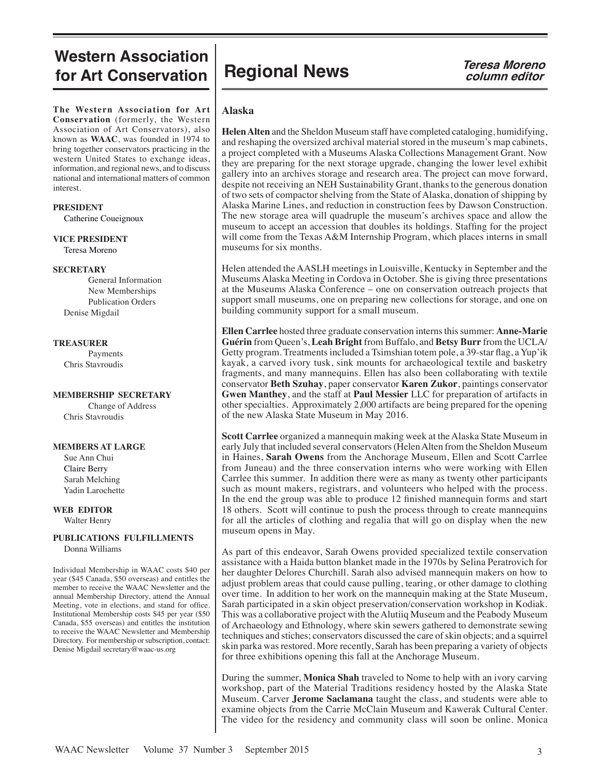### **Western Association for Art Conservation**

**The Western Association for Art Conservation** (formerly, the Western Association of Art Conservators), also known as **WAAC**, was founded in 1974 to bring together conservators practicing in the western United States to exchange ideas, information, and regional news, and to discuss national and international matters of common interest.

#### **PRESIDENT**

Catherine Coueignoux

**VICE PRESIDENT**

Teresa Moreno

#### **SECRETARY**

General Information New Memberships Publication Orders Denise Migdail

#### **TREASURER**

Payments Chris Stavroudis

#### **MEMBERSHIP SECRETARY**

Change of Address Chris Stavroudis

#### **MEMBERS AT LARGE**

 Sue Ann Chui Claire Berry Sarah Melching Yadin Larochette

### **WEB EDITOR**

Walter Henry

#### **PUBLICATIONS FULFILLMENTS** Donna Williams

Individual Membership in WAAC costs \$40 per year (\$45 Canada, \$50 overseas) and entitles the member to receive the WAAC Newsletter and the annual Membership Directory, attend the Annual Meeting, vote in elections, and stand for office. Institutional Membership costs \$45 per year (\$50 Canada, \$55 overseas) and entitles the institution to receive the WAAC Newsletter and Membership Directory. For membership or subscription, contact: Denise Migdail secretary@waac-us.org

## **Regional News** *Teresa Moreno*<br>*Column editor*

# **column editor**

#### **Alaska**

**Helen Alten** and the Sheldon Museum staff have completed cataloging, humidifying, and reshaping the oversized archival material stored in the museum's map cabinets, a project completed with a Museums Alaska Collections Management Grant. Now they are preparing for the next storage upgrade, changing the lower level exhibit gallery into an archives storage and research area. The project can move forward, despite not receiving an NEH Sustainability Grant, thanks to the generous donation of two sets of compactor shelving from the State of Alaska, donation of shipping by Alaska Marine Lines, and reduction in construction fees by Dawson Construction. The new storage area will quadruple the museum's archives space and allow the museum to accept an accession that doubles its holdings. Staffing for the project will come from the Texas A&M Internship Program, which places interns in small museums for six months.

Helen attended the AASLH meetings in Louisville, Kentucky in September and the Museums Alaska Meeting in Cordova in October. She is giving three presentations at the Museums Alaska Conference – one on conservation outreach projects that support small museums, one on preparing new collections for storage, and one on building community support for a small museum.

**Ellen Carrlee** hosted three graduate conservation interns this summer: **Anne-Marie Guérin** from Queen's, **Leah Bright** from Buffalo, and **Betsy Burr** from the UCLA/ Getty program. Treatments included a Tsimshian totem pole, a 39-star flag, a Yup'ik kayak, a carved ivory tusk, sink mounts for archaeological textile and basketry fragments, and many mannequins. Ellen has also been collaborating with textile conservator **Beth Szuhay**, paper conservator **Karen Zukor**, paintings conservator **Gwen Manthey**, and the staff at **Paul Messier** LLC for preparation of artifacts in other specialties. Approximately 2,000 artifacts are being prepared for the opening of the new Alaska State Museum in May 2016.

**Scott Carrlee** organized a mannequin making week at the Alaska State Museum in early July that included several conservators (Helen Alten from the Sheldon Museum in Haines, **Sarah Owens** from the Anchorage Museum, Ellen and Scott Carrlee from Juneau) and the three conservation interns who were working with Ellen Carrlee this summer. In addition there were as many as twenty other participants such as mount makers, registrars, and volunteers who helped with the process. In the end the group was able to produce 12 finished mannequin forms and start 18 others. Scott will continue to push the process through to create mannequins for all the articles of clothing and regalia that will go on display when the new museum opens in May.

As part of this endeavor, Sarah Owens provided specialized textile conservation assistance with a Haida button blanket made in the 1970s by Selina Peratrovich for her daughter Delores Churchill. Sarah also advised mannequin makers on how to adjust problem areas that could cause pulling, tearing, or other damage to clothing over time. In addition to her work on the mannequin making at the State Museum, Sarah participated in a skin object preservation/conservation workshop in Kodiak. This was a collaborative project with the Alutiiq Museum and the Peabody Museum of Archaeology and Ethnology, where skin sewers gathered to demonstrate sewing techniques and stiches; conservators discussed the care of skin objects; and a squirrel skin parka was restored. More recently, Sarah has been preparing a variety of objects for three exhibitions opening this fall at the Anchorage Museum.

During the summer, **Monica Shah** traveled to Nome to help with an ivory carving workshop, part of the Material Traditions residency hosted by the Alaska State Museum. Carver **Jerome Saclamana** taught the class, and students were able to examine objects from the Carrie McClain Museum and Kawerak Cultural Center. The video for the residency and community class will soon be online. Monica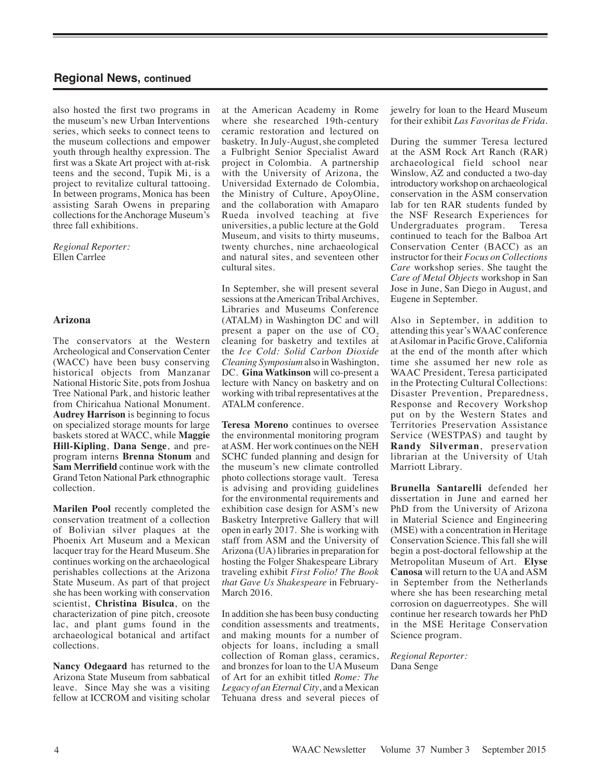also hosted the first two programs in the museum's new Urban Interventions series, which seeks to connect teens to the museum collections and empower youth through healthy expression. The first was a Skate Art project with at-risk teens and the second, Tupik Mi, is a project to revitalize cultural tattooing. In between programs, Monica has been assisting Sarah Owens in preparing collections for the Anchorage Museum's three fall exhibitions.

*Regional Reporter:* Ellen Carrlee

#### **Arizona**

The conservators at the Western Archeological and Conservation Center (WACC) have been busy conserving historical objects from Manzanar National Historic Site, pots from Joshua Tree National Park, and historic leather from Chiricahua National Monument. **Audrey Harrison** is beginning to focus on specialized storage mounts for large baskets stored at WACC, while **Maggie Hill-Kipling**, **Dana Senge**, and preprogram interns **Brenna Stonum** and **Sam Merrifield** continue work with the Grand Teton National Park ethnographic collection.

**Marilen Pool** recently completed the conservation treatment of a collection of Bolivian silver plaques at the Phoenix Art Museum and a Mexican lacquer tray for the Heard Museum. She continues working on the archaeological perishables collections at the Arizona State Museum. As part of that project she has been working with conservation scientist, **Christina Bisulca**, on the characterization of pine pitch, creosote lac, and plant gums found in the archaeological botanical and artifact collections.

**Nancy Odegaard** has returned to the Arizona State Museum from sabbatical leave. Since May she was a visiting fellow at ICCROM and visiting scholar

at the American Academy in Rome where she researched 19th-century ceramic restoration and lectured on basketry. In July-August, she completed a Fulbright Senior Specialist Award project in Colombia. A partnership with the University of Arizona, the Universidad Externado de Colombia, the Ministry of Culture, ApoyOline, and the collaboration with Amaparo Rueda involved teaching at five universities, a public lecture at the Gold Museum, and visits to thirty museums, twenty churches, nine archaeological and natural sites, and seventeen other cultural sites.

In September, she will present several sessions at the American Tribal Archives, Libraries and Museums Conference (ATALM) in Washington DC and will present a paper on the use of  $CO<sub>2</sub>$ cleaning for basketry and textiles at the *Ice Cold: Solid Carbon Dioxide Cleaning Symposium* also in Washington, DC. **Gina Watkinson** will co-present a lecture with Nancy on basketry and on working with tribal representatives at the ATALM conference.

**Teresa Moreno** continues to oversee the environmental monitoring program at ASM. Her work continues on the NEH SCHC funded planning and design for the museum's new climate controlled photo collections storage vault. Teresa is advising and providing guidelines for the environmental requirements and exhibition case design for ASM's new Basketry Interpretive Gallery that will open in early 2017. She is working with staff from ASM and the University of Arizona (UA) libraries in preparation for hosting the Folger Shakespeare Library traveling exhibit *First Folio! The Book that Gave Us Shakespeare* in February-March 2016.

In addition she has been busy conducting condition assessments and treatments, and making mounts for a number of objects for loans, including a small collection of Roman glass, ceramics, and bronzes for loan to the UA Museum of Art for an exhibit titled *Rome: The Legacy of an Eternal City*, and a Mexican Tehuana dress and several pieces of jewelry for loan to the Heard Museum for their exhibit *Las Favoritas de Frida*.

During the summer Teresa lectured at the ASM Rock Art Ranch (RAR) archaeological field school near Winslow, AZ and conducted a two-day introductory workshop on archaeological conservation in the ASM conservation lab for ten RAR students funded by the NSF Research Experiences for Undergraduates program. Teresa continued to teach for the Balboa Art Conservation Center (BACC) as an instructor for their *Focus on Collections Care* workshop series. She taught the *Care of Metal Objects* workshop in San Jose in June, San Diego in August, and Eugene in September.

Also in September, in addition to attending this year's WAAC conference at Asilomar in Pacific Grove, California at the end of the month after which time she assumed her new role as WAAC President, Teresa participated in the Protecting Cultural Collections: Disaster Prevention, Preparedness, Response and Recovery Workshop put on by the Western States and Territories Preservation Assistance Service (WESTPAS) and taught by **Randy Silverman**, preservation librarian at the University of Utah Marriott Library.

**Brunella Santarelli** defended her dissertation in June and earned her PhD from the University of Arizona in Material Science and Engineering (MSE) with a concentration in Heritage Conservation Science. This fall she will begin a post-doctoral fellowship at the Metropolitan Museum of Art. **Elyse Canosa** will return to the UA and ASM in September from the Netherlands where she has been researching metal corrosion on daguerreotypes. She will continue her research towards her PhD in the MSE Heritage Conservation Science program.

*Regional Reporter:* Dana Senge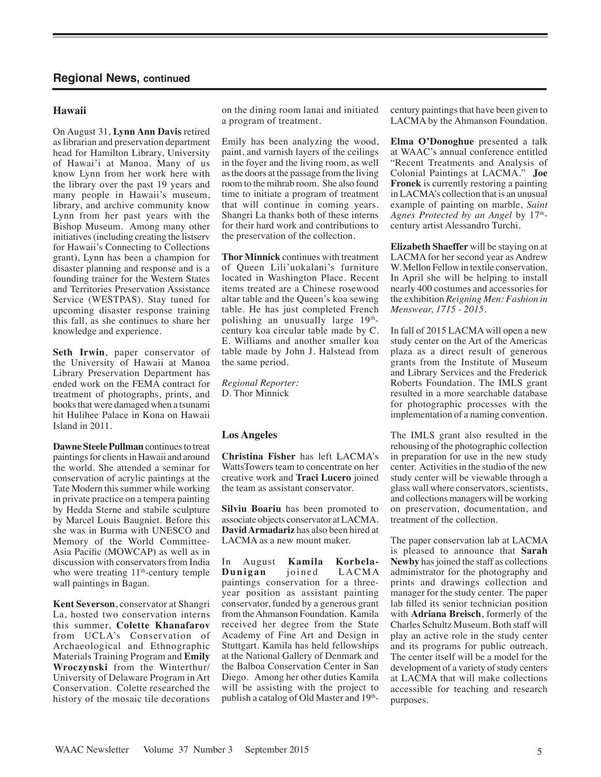#### **Hawaii**

On August 31, **Lynn Ann Davis** retired as librarian and preservation department head for Hamilton Library, University of Hawai'i at Manoa. Many of us know Lynn from her work here with the library over the past 19 years and many people in Hawaii's museum, library, and archive community know Lynn from her past years with the Bishop Museum. Among many other initiatives (including creating the listserv for Hawaii's Connecting to Collections grant), Lynn has been a champion for disaster planning and response and is a founding trainer for the Western States and Territories Preservation Assistance Service (WESTPAS). Stay tuned for upcoming disaster response training this fall, as she continues to share her knowledge and experience.

**Seth Irwin**, paper conservator of the University of Hawaii at Manoa Library Preservation Department has ended work on the FEMA contract for treatment of photographs, prints, and books that were damaged when a tsunami hit Hulihee Palace in Kona on Hawaii Island in 2011.

**Dawne Steele Pullman** continues to treat paintings for clients in Hawaii and around the world. She attended a seminar for conservation of acrylic paintings at the Tate Modern this summer while working in private practice on a tempera painting by Hedda Sterne and stabile sculpture by Marcel Louis Baugniet. Before this she was in Burma with UNESCO and Memory of the World Committee-Asia Pacific (MOWCAP) as well as in discussion with conservators from India who were treating 11<sup>th</sup>-century temple wall paintings in Bagan.

**Kent Severson**, conservator at Shangri La, hosted two conservation interns this summer, **Colette Khanafarov** from UCLA's Conservation of Archaeological and Ethnographic Materials Training Program and **Emily Wroczynski** from the Winterthur/ University of Delaware Program in Art Conservation. Colette researched the history of the mosaic tile decorations

on the dining room lanai and initiated a program of treatment.

Emily has been analyzing the wood, paint, and varnish layers of the ceilings in the foyer and the living room, as well as the doors at the passage from the living room to the mihrab room. She also found time to initiate a program of treatment that will continue in coming years. Shangri La thanks both of these interns for their hard work and contributions to the preservation of the collection.

**Thor Minnick** continues with treatment of Queen Lili'uokalani's furniture located in Washington Place. Recent items treated are a Chinese rosewood altar table and the Queen's koa sewing table. He has just completed French polishing an unusually large 19thcentury koa circular table made by C. E. Williams and another smaller koa table made by John J. Halstead from the same period.

*Regional Reporter:* D. Thor Minnick

#### **Los Angeles**

**Christina Fisher** has left LACMA's WattsTowers team to concentrate on her creative work and **Traci Lucero** joined the team as assistant conservator.

**Silviu Boariu** has been promoted to associate objects conservator at LACMA. **David Armadariz** has also been hired at LACMA as a new mount maker.

In August **Kamila Korbela-Dunigan** joined LACMA paintings conservation for a threeyear position as assistant painting conservator, funded by a generous grant from the Ahmanson Foundation. Kamila received her degree from the State Academy of Fine Art and Design in Stuttgart. Kamila has held fellowships at the National Gallery of Denmark and the Balboa Conservation Center in San Diego. Among her other duties Kamila will be assisting with the project to publish a catalog of Old Master and  $19<sup>th</sup>$ -

century paintings that have been given to LACMA by the Ahmanson Foundation.

**Elma O'Donoghue** presented a talk at WAAC's annual conference entitled "Recent Treatments and Analysis of Colonial Paintings at LACMA." **Joe Fronek** is currently restoring a painting in LACMA's collection that is an unusual example of painting on marble, *Saint*  Agnes Protected by an Angel by 17<sup>th</sup>century artist Alessandro Turchi.

**Elizabeth Shaeffer** will be staying on at LACMA for her second year as Andrew W. Mellon Fellow in textile conservation. In April she will be helping to install nearly 400 costumes and accessories for the exhibition *Reigning Men: Fashion in Menswear, 1715 - 2015.* 

In fall of 2015 LACMA will open a new study center on the Art of the Americas plaza as a direct result of generous grants from the Institute of Museum and Library Services and the Frederick Roberts Foundation. The IMLS grant resulted in a more searchable database for photographic processes with the implementation of a naming convention.

The IMLS grant also resulted in the rehousing of the photographic collection in preparation for use in the new study center. Activities in the studio of the new study center will be viewable through a glass wall where conservators, scientists, and collections managers will be working on preservation, documentation, and treatment of the collection.

The paper conservation lab at LACMA is pleased to announce that **Sarah Newby** has joined the staff as collections administrator for the photography and prints and drawings collection and manager for the study center. The paper lab filled its senior technician position with **Adriana Breisch**, formerly of the Charles Schultz Museum. Both staff will play an active role in the study center and its programs for public outreach. The center itself will be a model for the development of a variety of study centers at LACMA that will make collections accessible for teaching and research purposes.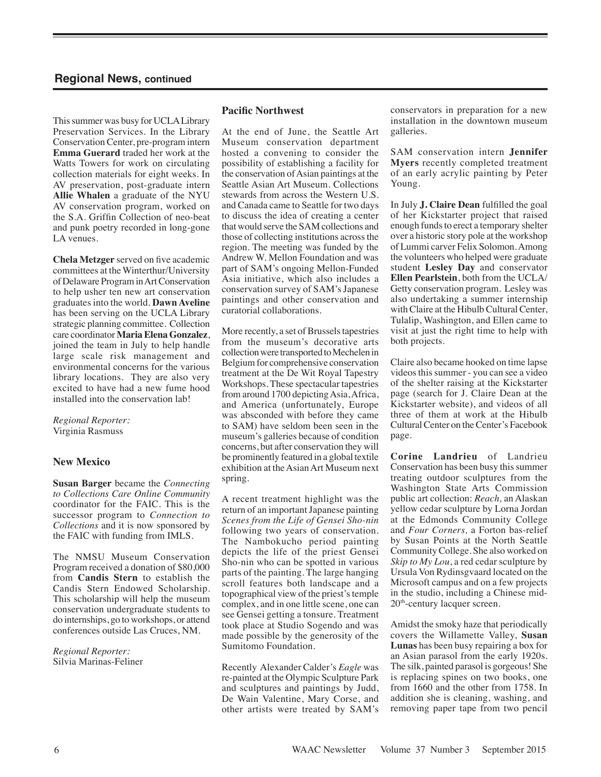This summer was busy for UCLA Library Preservation Services. In the Library Conservation Center, pre-program intern **Emma Guerard** traded her work at the Watts Towers for work on circulating collection materials for eight weeks. In AV preservation, post-graduate intern **Allie Whalen** a graduate of the NYU AV conservation program, worked on the S.A. Griffin Collection of neo-beat and punk poetry recorded in long-gone LA venues.

**Chela Metzger** served on five academic committees at the Winterthur/University of Delaware Program in Art Conservation to help usher ten new art conservation graduates into the world. **Dawn Aveline** has been serving on the UCLA Library strategic planning committee. Collection care coordinator **Maria Elena Gonzalez**, joined the team in July to help handle large scale risk management and environmental concerns for the various library locations. They are also very excited to have had a new fume hood installed into the conservation lab!

*Regional Reporter:* Virginia Rasmuss

#### **New Mexico**

**Susan Barger** became the *Connecting to Collections Care Online Community* coordinator for the FAIC. This is the successor program to *Connection to Collections* and it is now sponsored by the FAIC with funding from IMLS.

The NMSU Museum Conservation Program received a donation of \$80,000 from **Candis Stern** to establish the Candis Stern Endowed Scholarship. This scholarship will help the museum conservation undergraduate students to do internships, go to workshops, or attend conferences outside Las Cruces, NM.

*Regional Reporter:* Silvia Marinas-Feliner

#### **Pacific Northwest**

At the end of June, the Seattle Art Museum conservation department hosted a convening to consider the possibility of establishing a facility for the conservation of Asian paintings at the Seattle Asian Art Museum. Collections stewards from across the Western U.S. and Canada came to Seattle for two days to discuss the idea of creating a center that would serve the SAM collections and those of collecting institutions across the region. The meeting was funded by the Andrew W. Mellon Foundation and was part of SAM's ongoing Mellon-Funded Asia initiative, which also includes a conservation survey of SAM's Japanese paintings and other conservation and curatorial collaborations.

More recently, a set of Brussels tapestries from the museum's decorative arts collection were transported to Mechelen in Belgium for comprehensive conservation treatment at the De Wit Royal Tapestry Workshops. These spectacular tapestries from around 1700 depicting Asia, Africa, and America (unfortunately, Europe was absconded with before they came to SAM) have seldom been seen in the museum's galleries because of condition concerns, but after conservation they will be prominently featured in a global textile exhibition at the Asian Art Museum next spring.

A recent treatment highlight was the return of an important Japanese painting *Scenes from the Life of Gensei Sho-nin* following two years of conservation. The Nambokucho period painting depicts the life of the priest Gensei Sho-nin who can be spotted in various parts of the painting. The large hanging scroll features both landscape and a topographical view of the priest's temple complex, and in one little scene, one can see Gensei getting a tonsure. Treatment took place at Studio Sogendo and was made possible by the generosity of the Sumitomo Foundation.

Recently Alexander Calder's *Eagle* was re-painted at the Olympic Sculpture Park and sculptures and paintings by Judd, De Wain Valentine, Mary Corse, and other artists were treated by SAM's conservators in preparation for a new installation in the downtown museum galleries.

SAM conservation intern **Jennifer Myers** recently completed treatment of an early acrylic painting by Peter Young.

In July **J. Claire Dean** fulfilled the goal of her Kickstarter project that raised enough funds to erect a temporary shelter over a historic story pole at the workshop of Lummi carver Felix Solomon. Among the volunteers who helped were graduate student **Lesley Day** and conservator **Ellen Pearlstein**, both from the UCLA/ Getty conservation program. Lesley was also undertaking a summer internship with Claire at the Hibulb Cultural Center, Tulalip, Washington, and Ellen came to visit at just the right time to help with both projects.

Claire also became hooked on time lapse videos this summer - you can see a video of the shelter raising at the Kickstarter page (search for J. Claire Dean at the Kickstarter website), and videos of all three of them at work at the Hibulb Cultural Center on the Center's Facebook page.

**Corine Landrieu** of Landrieu Conservation has been busy this summer treating outdoor sculptures from the Washington State Arts Commission public art collection: *Reach,* an Alaskan yellow cedar sculpture by Lorna Jordan at the Edmonds Community College and *Four Corners,* a Forton bas-relief by Susan Points at the North Seattle Community College. She also worked on *Skip to My Lou*, a red cedar sculpture by Ursula Von Rydinsgvaard located on the Microsoft campus and on a few projects in the studio, including a Chinese mid-20th-century lacquer screen.

Amidst the smoky haze that periodically covers the Willamette Valley, **Susan Lunas** has been busy repairing a box for an Asian parasol from the early 1920s. The silk, painted parasol is gorgeous! She is replacing spines on two books, one from 1660 and the other from 1758. In addition she is cleaning, washing, and removing paper tape from two pencil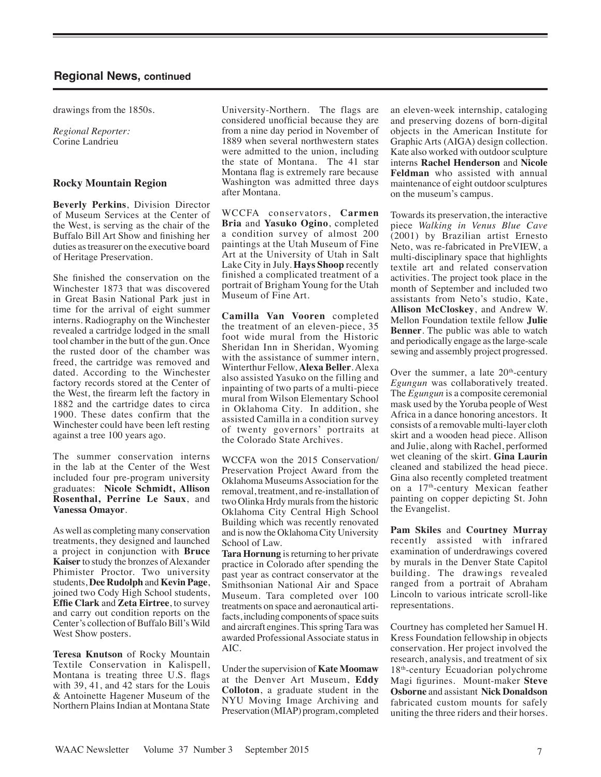drawings from the 1850s.

*Regional Reporter:* Corine Landrieu

#### **Rocky Mountain Region**

**Beverly Perkins**, Division Director of Museum Services at the Center of the West, is serving as the chair of the Buffalo Bill Art Show and finishing her duties as treasurer on the executive board of Heritage Preservation.

She finished the conservation on the Winchester 1873 that was discovered in Great Basin National Park just in time for the arrival of eight summer interns. Radiography on the Winchester revealed a cartridge lodged in the small tool chamber in the butt of the gun. Once the rusted door of the chamber was freed, the cartridge was removed and dated. According to the Winchester factory records stored at the Center of the West, the firearm left the factory in 1882 and the cartridge dates to circa 1900. These dates confirm that the Winchester could have been left resting against a tree 100 years ago.

The summer conservation interns in the lab at the Center of the West included four pre-program university graduates: **Nicole Schmidt, Allison Rosenthal, Perrine Le Saux**, and **Vanessa Omayor**.

As well as completing many conservation treatments, they designed and launched a project in conjunction with **Bruce Kaiser** to study the bronzes of Alexander Phimister Proctor. Two university students, **Dee Rudolph** and **Kevin Page**, joined two Cody High School students, **Effie Clark** and **Zeta Eirtree**, to survey and carry out condition reports on the Center's collection of Buffalo Bill's Wild West Show posters.

**Teresa Knutson** of Rocky Mountain Textile Conservation in Kalispell, Montana is treating three U.S. flags with 39, 41, and 42 stars for the Louis & Antoinette Hagener Museum of the Northern Plains Indian at Montana State

University-Northern. The flags are considered unofficial because they are from a nine day period in November of 1889 when several northwestern states were admitted to the union, including the state of Montana. The 41 star Montana flag is extremely rare because Washington was admitted three days after Montana.

WCCFA conservators, **Carmen Bria** and **Yasuko Ogino**, completed a condition survey of almost 200 paintings at the Utah Museum of Fine Art at the University of Utah in Salt Lake City in July. **Hays Shoop** recently finished a complicated treatment of a portrait of Brigham Young for the Utah Museum of Fine Art.

**Camilla Van Vooren** completed the treatment of an eleven-piece, 35 foot wide mural from the Historic Sheridan Inn in Sheridan, Wyoming with the assistance of summer intern, Winterthur Fellow, **Alexa Beller**.Alexa also assisted Yasuko on the filling and inpainting of two parts of a multi-piece mural from Wilson Elementary School in Oklahoma City. In addition, she assisted Camilla in a condition survey of twenty governors' portraits at the Colorado State Archives.

WCCFA won the 2015 Conservation/ Preservation Project Award from the Oklahoma Museums Association for the removal, treatment, and re-installation of two Olinka Hrdy murals from the historic Oklahoma City Central High School Building which was recently renovated and is now the Oklahoma City University School of Law.

**Tara Hornung** is returning to her private practice in Colorado after spending the past year as contract conservator at the Smithsonian National Air and Space Museum. Tara completed over 100 treatments on space and aeronautical artifacts, including components of space suits and aircraft engines.This springTara was awarded Professional Associate status in AIC.

Under the supervision of **Kate Moomaw** at the Denver Art Museum, **Eddy Colloton**, a graduate student in the NYU Moving Image Archiving and Preservation (MIAP) program, completed an eleven-week internship, cataloging and preserving dozens of born-digital objects in the American Institute for Graphic Arts (AIGA) design collection. Kate also worked with outdoor sculpture interns **Rachel Henderson** and **Nicole Feldman** who assisted with annual maintenance of eight outdoor sculptures on the museum's campus.

Towards its preservation, the interactive piece *Walking in Venus Blue Cave* (2001) by Brazilian artist Ernesto Neto, was re-fabricated in PreVIEW, a multi-disciplinary space that highlights textile art and related conservation activities. The project took place in the month of September and included two assistants from Neto's studio, Kate, **Allison McCloskey**, and Andrew W. Mellon Foundation textile fellow **Julie Benner**. The public was able to watch and periodically engage as the large-scale sewing and assembly project progressed.

Over the summer, a late  $20<sup>th</sup>$ -century *Egungun* was collaboratively treated. The *Egungun* is a composite ceremonial mask used by the Yoruba people of West Africa in a dance honoring ancestors. It consists of a removable multi-layer cloth skirt and a wooden head piece. Allison and Julie, along with Rachel, performed wet cleaning of the skirt. **Gina Laurin** cleaned and stabilized the head piece. Gina also recently completed treatment on a 17th-century Mexican feather painting on copper depicting St. John the Evangelist.

**Pam Skiles** and **Courtney Murray** recently assisted with infrared examination of underdrawings covered by murals in the Denver State Capitol building. The drawings revealed ranged from a portrait of Abraham Lincoln to various intricate scroll-like representations.

Courtney has completed her Samuel H. Kress Foundation fellowship in objects conservation. Her project involved the research, analysis, and treatment of six 18<sup>th</sup>-century Ecuadorian polychrome Magi figurines. Mount-maker **Steve Osborne** and assistant **Nick Donaldson** fabricated custom mounts for safely uniting the three riders and their horses.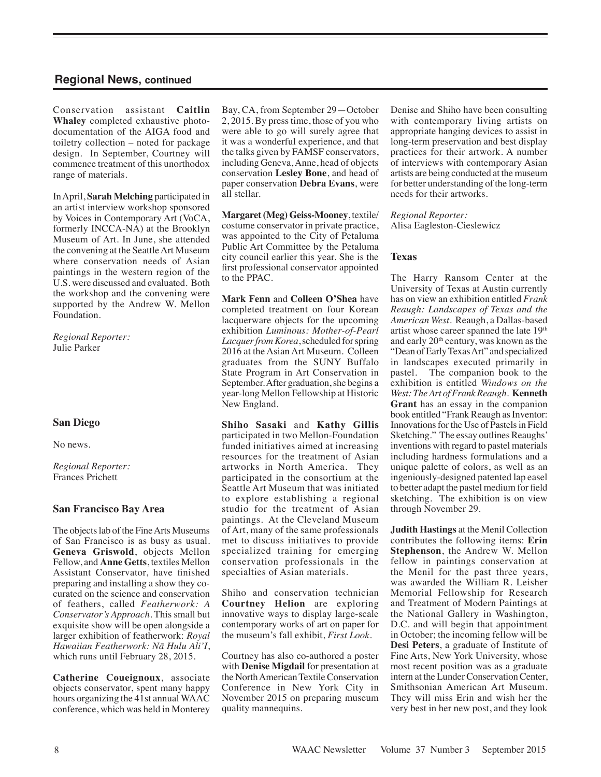Conservation assistant **Caitlin Whaley** completed exhaustive photodocumentation of the AIGA food and toiletry collection – noted for package design. In September, Courtney will commence treatment of this unorthodox range of materials.

In April, **Sarah Melching** participated in an artist interview workshop sponsored by Voices in Contemporary Art (VoCA, formerly INCCA-NA) at the Brooklyn Museum of Art. In June, she attended the convening at the Seattle Art Museum where conservation needs of Asian paintings in the western region of the U.S. were discussed and evaluated. Both the workshop and the convening were supported by the Andrew W. Mellon Foundation.

*Regional Reporter:* Julie Parker

#### **San Diego**

No news.

*Regional Reporter:* Frances Prichett

#### **San Francisco Bay Area**

The objects lab of the Fine Arts Museums of San Francisco is as busy as usual. **Geneva Griswold**, objects Mellon Fellow, and **Anne Getts**, textiles Mellon Assistant Conservator, have finished preparing and installing a show they cocurated on the science and conservation of feathers, called *Featherwork: A Conservator's Approach*. This small but exquisite show will be open alongside a larger exhibition of featherwork: *Royal Hawaiian Featherwork: Nā Hulu Ali'I*, which runs until February 28, 2015.

**Catherine Coueignoux**, associate objects conservator, spent many happy hours organizing the 41st annual WAAC conference, which was held in Monterey Bay, CA, from September 29—October 2, 2015. By press time, those of you who were able to go will surely agree that it was a wonderful experience, and that the talks given by FAMSF conservators, including Geneva, Anne, head of objects conservation **Lesley Bone**, and head of paper conservation **Debra Evans**, were all stellar.

**Margaret (Meg) Geiss-Mooney**, textile/ costume conservator in private practice, was appointed to the City of Petaluma Public Art Committee by the Petaluma city council earlier this year. She is the first professional conservator appointed to the PPAC.

**Mark Fenn** and **Colleen O'Shea** have completed treatment on four Korean lacquerware objects for the upcoming exhibition *Luminous: Mother-of-Pearl Lacquer from Korea*, scheduled for spring 2016 at the Asian Art Museum. Colleen graduates from the SUNY Buffalo State Program in Art Conservation in September. After graduation, she begins a year-long Mellon Fellowship at Historic New England.

**Shiho Sasaki** and **Kathy Gillis** participated in two Mellon-Foundation funded initiatives aimed at increasing resources for the treatment of Asian artworks in North America. They participated in the consortium at the Seattle Art Museum that was initiated to explore establishing a regional studio for the treatment of Asian paintings. At the Cleveland Museum of Art, many of the same professionals met to discuss initiatives to provide specialized training for emerging conservation professionals in the specialties of Asian materials.

Shiho and conservation technician **Courtney Helion** are exploring innovative ways to display large-scale contemporary works of art on paper for the museum's fall exhibit, *First Look*.

Courtney has also co-authored a poster with **Denise Migdail** for presentation at the North American Textile Conservation Conference in New York City in November 2015 on preparing museum quality mannequins.

Denise and Shiho have been consulting with contemporary living artists on appropriate hanging devices to assist in long-term preservation and best display practices for their artwork. A number of interviews with contemporary Asian artists are being conducted at the museum for better understanding of the long-term needs for their artworks.

*Regional Reporter:* Alisa Eagleston-Cieslewicz

#### **Texas**

The Harry Ransom Center at the University of Texas at Austin currently has on view an exhibition entitled *Frank Reaugh: Landscapes of Texas and the American West*. Reaugh, a Dallas-based artist whose career spanned the late 19th and early 20th century, was known as the "Dean of Early Texas Art" and specialized in landscapes executed primarily in pastel. The companion book to the exhibition is entitled *Windows on the West: The Art of Frank Reaugh*. **Kenneth Grant** has an essay in the companion book entitled "Frank Reaugh as Inventor: Innovations for the Use of Pastels in Field Sketching." The essay outlines Reaughs' inventions with regard to pastel materials including hardness formulations and a unique palette of colors, as well as an ingeniously-designed patented lap easel to better adapt the pastel medium for field sketching. The exhibition is on view through November 29.

**Judith Hastings** at the Menil Collection contributes the following items: **Erin Stephenson**, the Andrew W. Mellon fellow in paintings conservation at the Menil for the past three years, was awarded the William R. Leisher Memorial Fellowship for Research and Treatment of Modern Paintings at the National Gallery in Washington, D.C. and will begin that appointment in October; the incoming fellow will be **Desi Peters**, a graduate of Institute of Fine Arts, New York University, whose most recent position was as a graduate intern at the Lunder Conservation Center, Smithsonian American Art Museum. They will miss Erin and wish her the very best in her new post, and they look